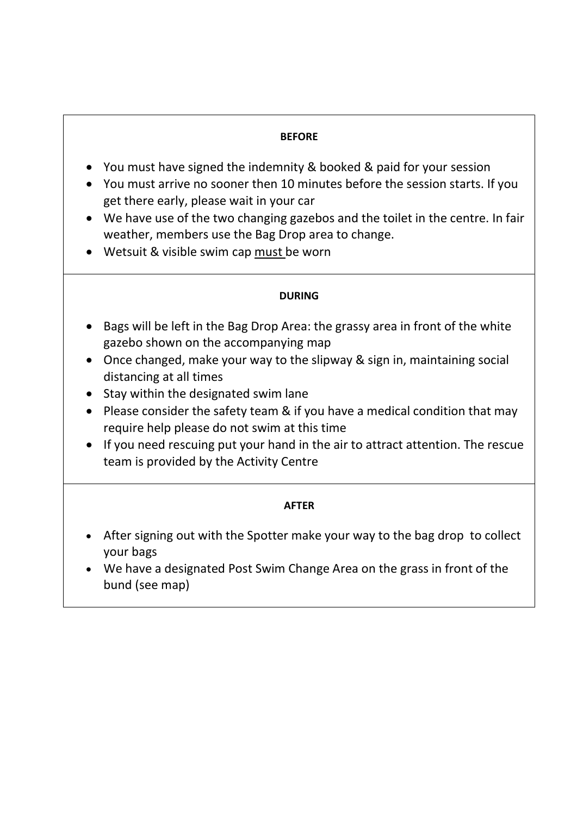## **BEFORE**

- You must have signed the indemnity & booked & paid for your session
- You must arrive no sooner then 10 minutes before the session starts. If you get there early, please wait in your car
- We have use of the two changing gazebos and the toilet in the centre. In fair weather, members use the Bag Drop area to change.
- Wetsuit & visible swim cap must be worn

## DURING

- Bags will be left in the Bag Drop Area: the grassy area in front of the white gazebo shown on the accompanying map
- Once changed, make your way to the slipway & sign in, maintaining social distancing at all times
- Stay within the designated swim lane
- Please consider the safety team & if you have a medical condition that may require help please do not swim at this time
- If you need rescuing put your hand in the air to attract attention. The rescue team is provided by the Activity Centre

## AFTER

- After signing out with the Spotter make your way to the bag drop to collect your bags
- We have a designated Post Swim Change Area on the grass in front of the bund (see map)